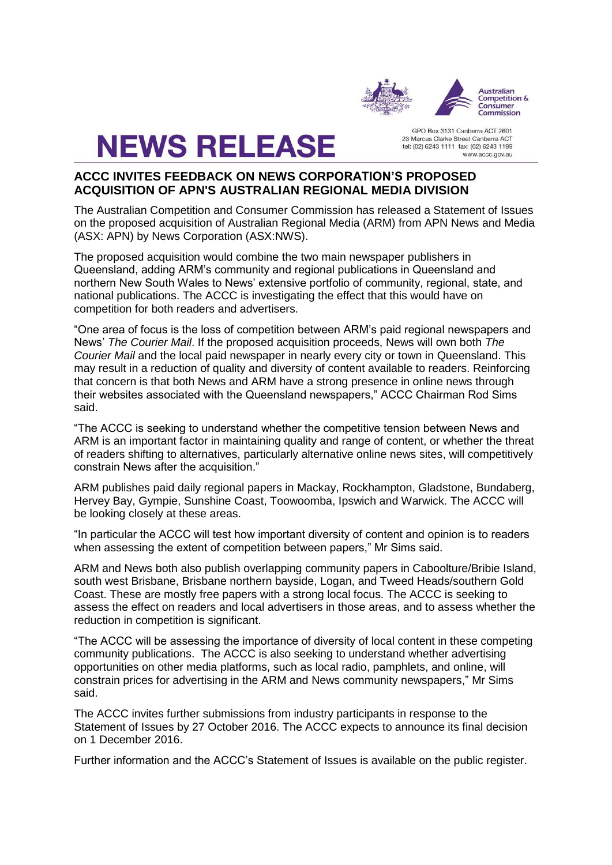

**NEWS RELEASE** 

GPO Box 3131 Canberra ACT 2601 23 Marcus Clarke Street Canberra ACT tel: (02) 6243 1111 fax: (02) 6243 1199 www.accc.gov.au

# **ACCC INVITES FEEDBACK ON NEWS CORPORATION'S PROPOSED ACQUISITION OF APN'S AUSTRALIAN REGIONAL MEDIA DIVISION**

The Australian Competition and Consumer Commission has released a Statement of Issues on the proposed acquisition of Australian Regional Media (ARM) from APN News and Media (ASX: APN) by News Corporation (ASX:NWS).

The proposed acquisition would combine the two main newspaper publishers in Queensland, adding ARM's community and regional publications in Queensland and northern New South Wales to News' extensive portfolio of community, regional, state, and national publications. The ACCC is investigating the effect that this would have on competition for both readers and advertisers.

"One area of focus is the loss of competition between ARM's paid regional newspapers and News' *The Courier Mail*. If the proposed acquisition proceeds, News will own both *The Courier Mail* and the local paid newspaper in nearly every city or town in Queensland. This may result in a reduction of quality and diversity of content available to readers. Reinforcing that concern is that both News and ARM have a strong presence in online news through their websites associated with the Queensland newspapers," ACCC Chairman Rod Sims said.

"The ACCC is seeking to understand whether the competitive tension between News and ARM is an important factor in maintaining quality and range of content, or whether the threat of readers shifting to alternatives, particularly alternative online news sites, will competitively constrain News after the acquisition."

ARM publishes paid daily regional papers in Mackay, Rockhampton, Gladstone, Bundaberg, Hervey Bay, Gympie, Sunshine Coast, Toowoomba, Ipswich and Warwick. The ACCC will be looking closely at these areas.

"In particular the ACCC will test how important diversity of content and opinion is to readers when assessing the extent of competition between papers," Mr Sims said.

ARM and News both also publish overlapping community papers in Caboolture/Bribie Island, south west Brisbane, Brisbane northern bayside, Logan, and Tweed Heads/southern Gold Coast. These are mostly free papers with a strong local focus. The ACCC is seeking to assess the effect on readers and local advertisers in those areas, and to assess whether the reduction in competition is significant.

"The ACCC will be assessing the importance of diversity of local content in these competing community publications. The ACCC is also seeking to understand whether advertising opportunities on other media platforms, such as local radio, pamphlets, and online, will constrain prices for advertising in the ARM and News community newspapers," Mr Sims said.

The ACCC invites further submissions from industry participants in response to the Statement of Issues by 27 October 2016. The ACCC expects to announce its final decision on 1 December 2016.

Further information and the ACCC's Statement of Issues is available on the public register.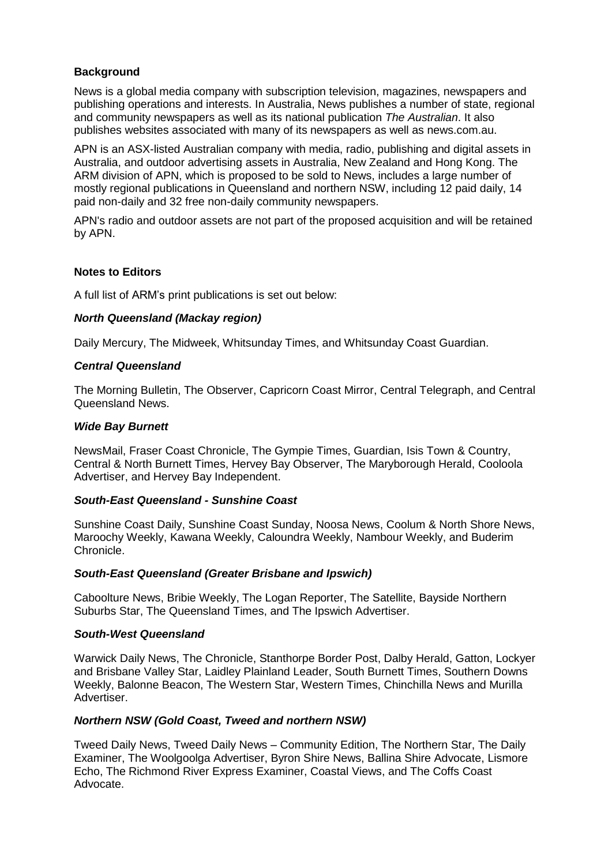# **Background**

News is a global media company with subscription television, magazines, newspapers and publishing operations and interests. In Australia, News publishes a number of state, regional and community newspapers as well as its national publication *The Australian*. It also publishes websites associated with many of its newspapers as well as news.com.au.

APN is an ASX-listed Australian company with media, radio, publishing and digital assets in Australia, and outdoor advertising assets in Australia, New Zealand and Hong Kong. The ARM division of APN, which is proposed to be sold to News, includes a large number of mostly regional publications in Queensland and northern NSW, including 12 paid daily, 14 paid non-daily and 32 free non-daily community newspapers.

APN's radio and outdoor assets are not part of the proposed acquisition and will be retained by APN.

### **Notes to Editors**

A full list of ARM's print publications is set out below:

## *North Queensland (Mackay region)*

Daily Mercury, The Midweek, Whitsunday Times, and Whitsunday Coast Guardian.

#### *Central Queensland*

The Morning Bulletin, The Observer, Capricorn Coast Mirror, Central Telegraph, and Central Queensland News.

### *Wide Bay Burnett*

NewsMail, Fraser Coast Chronicle, The Gympie Times, Guardian, Isis Town & Country, Central & North Burnett Times, Hervey Bay Observer, The Maryborough Herald, Cooloola Advertiser, and Hervey Bay Independent.

#### *South-East Queensland - Sunshine Coast*

Sunshine Coast Daily, Sunshine Coast Sunday, Noosa News, Coolum & North Shore News, Maroochy Weekly, Kawana Weekly, Caloundra Weekly, Nambour Weekly, and Buderim Chronicle.

#### *South-East Queensland (Greater Brisbane and Ipswich)*

Caboolture News, Bribie Weekly, The Logan Reporter, The Satellite, Bayside Northern Suburbs Star, The Queensland Times, and The Ipswich Advertiser.

#### *South-West Queensland*

Warwick Daily News, The Chronicle, Stanthorpe Border Post, Dalby Herald, Gatton, Lockyer and Brisbane Valley Star, Laidley Plainland Leader, South Burnett Times, Southern Downs Weekly, Balonne Beacon, The Western Star, Western Times, Chinchilla News and Murilla Advertiser.

## *Northern NSW (Gold Coast, Tweed and northern NSW)*

Tweed Daily News, Tweed Daily News – Community Edition, The Northern Star, The Daily Examiner, The Woolgoolga Advertiser, Byron Shire News, Ballina Shire Advocate, Lismore Echo, The Richmond River Express Examiner, Coastal Views, and The Coffs Coast Advocate.